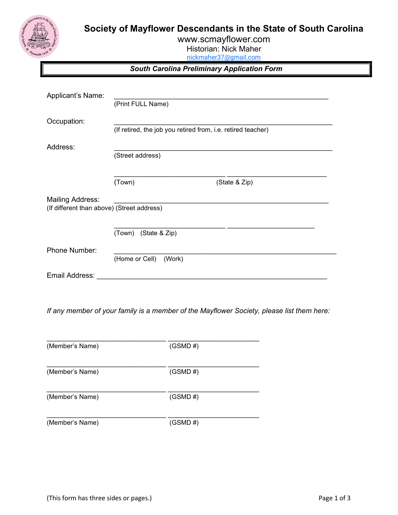



www.scmayflower.com Historian: Nick Maher

nickmaher37@gmail.com

South Carolina Preliminary Application Form

| Applicant's Name:                          |                                                              |               |  |  |  |
|--------------------------------------------|--------------------------------------------------------------|---------------|--|--|--|
|                                            | (Print FULL Name)                                            |               |  |  |  |
| Occupation:                                |                                                              |               |  |  |  |
|                                            | (If retired, the job you retired from, i.e. retired teacher) |               |  |  |  |
|                                            |                                                              |               |  |  |  |
| Address:                                   | (Street address)                                             |               |  |  |  |
|                                            | (Town)                                                       | (State & Zip) |  |  |  |
|                                            |                                                              |               |  |  |  |
| <b>Mailing Address:</b>                    |                                                              |               |  |  |  |
| (If different than above) (Street address) |                                                              |               |  |  |  |
|                                            |                                                              |               |  |  |  |
|                                            | (Town) (State & Zip)                                         |               |  |  |  |
| Phone Number:                              |                                                              |               |  |  |  |
|                                            | (Home or Cell)<br>(Work)                                     |               |  |  |  |
| Email Address:                             |                                                              |               |  |  |  |

If any member of your family is a member of the Mayflower Society, please list them here:

| (Member's Name) | $(GSMD \#)$ |
|-----------------|-------------|
| (Member's Name) | $(GSMD \#)$ |
| (Member's Name) | $(GSMD \#)$ |
| (Member's Name) | $(GSMD \#)$ |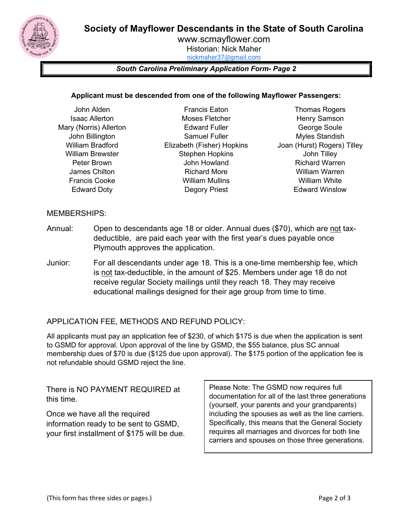Society of Mayflower Descendants in the State of South Carolina



www.scmayflower.com Historian: Nick Maher nickmaher37@gmail.com

## South Carolina Preliminary Application Form- Page 2

## Applicant must be descended from one of the following Mayflower Passengers:

- John Alden Isaac Allerton Mary (Norris) Allerton John Billington William Bradford William Brewster Peter Brown James Chilton Francis Cooke Edward Doty
- Francis Eaton Moses Fletcher Edward Fuller Samuel Fuller Elizabeth (Fisher) Hopkins Stephen Hopkins John Howland Richard More William Mullins Degory Priest
- Thomas Rogers Henry Samson George Soule Myles Standish Joan (Hurst) Rogers) Tilley John Tilley Richard Warren William Warren William White Edward Winslow

## MEMBERSHIPS:

- Annual: Open to descendants age 18 or older. Annual dues (\$70), which are not taxdeductible, are paid each year with the first year's dues payable once Plymouth approves the application.
- Junior: For all descendants under age 18. This is a one-time membership fee, which is not tax-deductible, in the amount of \$25. Members under age 18 do not receive regular Society mailings until they reach 18. They may receive educational mailings designed for their age group from time to time.

## APPLICATION FEE, METHODS AND REFUND POLICY:

All applicants must pay an application fee of \$230, of which \$175 is due when the application is sent to GSMD for approval. Upon approval of the line by GSMD, the \$55 balance, plus SC annual membership dues of \$70 is due (\$125 due upon approval). The \$175 portion of the application fee is not refundable should GSMD reject the line.

There is NO PAYMENT REQUIRED at this time.

Once we have all the required information ready to be sent to GSMD, your first installment of \$175 will be due. Please Note: The GSMD now requires full documentation for all of the last three generations (yourself, your parents and your grandparents) including the spouses as well as the line carriers. Specifically, this means that the General Society requires all marriages and divorces for both line carriers and spouses on those three generations.